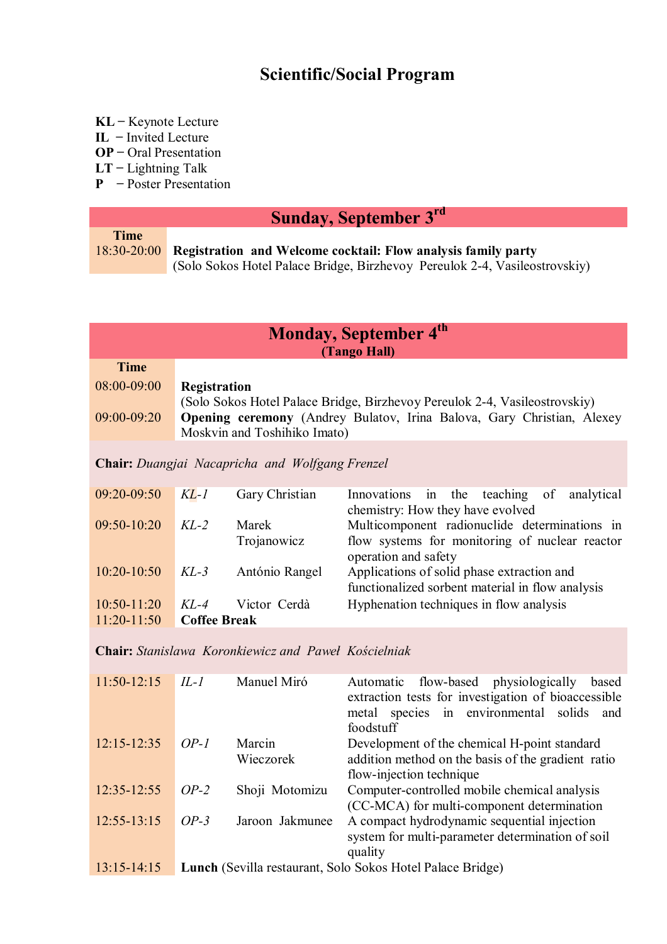### **Scientific/Social Program**

- **KL** ̶ Keynote Lecture
- **IL** ̶ Invited Lecture
- **OP** ̶ Oral Presentation
- **LT** ̶ Lightning Talk
- **P** Poster Presentation

## **Sunday, September 3rd**

| <b>Time</b> |                                                                            |
|-------------|----------------------------------------------------------------------------|
|             | 18:30-20:00 Registration and Welcome cocktail: Flow analysis family party  |
|             | (Solo Sokos Hotel Palace Bridge, Birzhevoy Pereulok 2-4, Vasileostrovskiy) |

| Monday, September 4th<br>(Tango Hall) |                     |                                                             |                                                                                                                                                             |  |
|---------------------------------------|---------------------|-------------------------------------------------------------|-------------------------------------------------------------------------------------------------------------------------------------------------------------|--|
| <b>Time</b>                           |                     |                                                             |                                                                                                                                                             |  |
| 08:00-09:00                           | Registration        |                                                             |                                                                                                                                                             |  |
| 09:00-09:20                           |                     | Moskvin and Toshihiko Imato)                                | (Solo Sokos Hotel Palace Bridge, Birzhevoy Pereulok 2-4, Vasileostrovskiy)<br><b>Opening ceremony</b> (Andrey Bulatov, Irina Balova, Gary Christian, Alexey |  |
|                                       |                     | <b>Chair:</b> Duangjai Nacapricha and Wolfgang Frenzel      |                                                                                                                                                             |  |
| 09:20-09:50                           | $KL-1$              | Gary Christian                                              | the<br>teaching<br>of<br>analytical<br>Innovations<br>in<br>chemistry: How they have evolved                                                                |  |
| $09:50-10:20$                         | $KL-2$              | Marek<br>Trojanowicz                                        | Multicomponent radionuclide determinations in<br>flow systems for monitoring of nuclear reactor<br>operation and safety                                     |  |
| $10:20 - 10:50$                       | $KL-3$              | António Rangel                                              | Applications of solid phase extraction and<br>functionalized sorbent material in flow analysis                                                              |  |
| $10:50-11:20$                         | $KL-4$              | Victor Cerdà                                                | Hyphenation techniques in flow analysis                                                                                                                     |  |
| $11:20-11:50$                         | <b>Coffee Break</b> |                                                             |                                                                                                                                                             |  |
|                                       |                     | <b>Chair:</b> Stanislawa Koronkiewicz and Paweł Kościelniak |                                                                                                                                                             |  |
| $11:50-12:15$                         | IL-1                | Manuel Miró                                                 | flow-based<br>physiologically<br>Automatic<br>based                                                                                                         |  |

|                 |        |                 | $\frac{1}{2}$<br>extraction tests for investigation of bioaccessible |
|-----------------|--------|-----------------|----------------------------------------------------------------------|
|                 |        |                 | species in environmental solids<br>metal<br>and                      |
|                 |        |                 | foodstuff                                                            |
| $12:15 - 12:35$ | $OP-I$ | Marcin          | Development of the chemical H-point standard                         |
|                 |        | Wieczorek       | addition method on the basis of the gradient ratio                   |
|                 |        |                 | flow-injection technique                                             |
| 12:35-12:55     | $OP-2$ | Shoji Motomizu  | Computer-controlled mobile chemical analysis                         |
|                 |        |                 | (CC-MCA) for multi-component determination                           |
| $12:55 - 13:15$ | $OP-3$ | Jaroon Jakmunee | A compact hydrodynamic sequential injection                          |
|                 |        |                 | system for multi-parameter determination of soil                     |
|                 |        |                 | quality                                                              |
| $13:15 - 14:15$ |        |                 | Lunch (Sevilla restaurant, Solo Sokos Hotel Palace Bridge)           |
|                 |        |                 |                                                                      |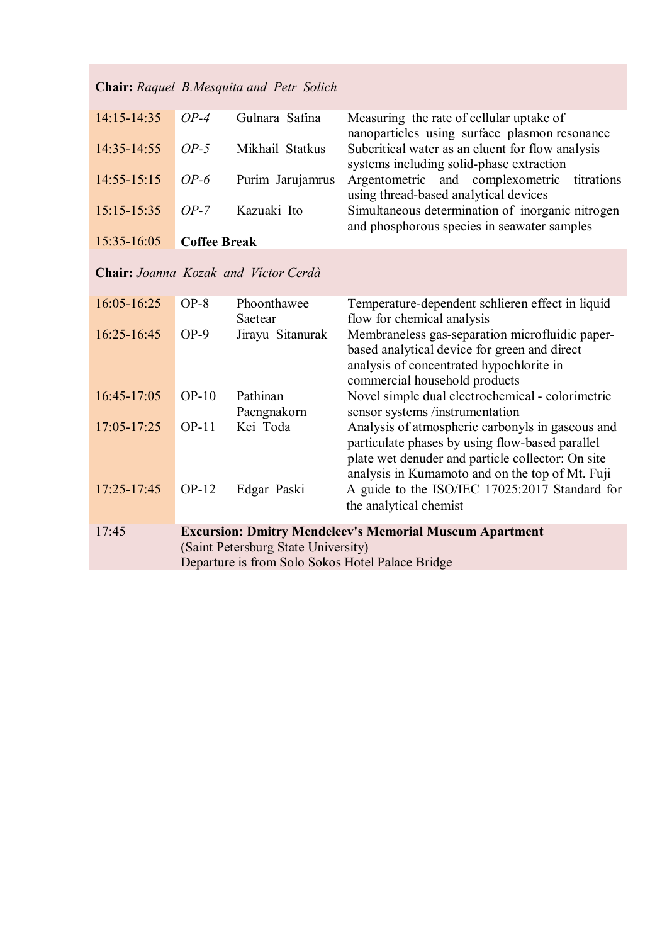| 14:15-14:35     | $OP-4$              | Gulnara Safina                                   | Measuring the rate of cellular uptake of<br>nanoparticles using surface plasmon resonance                                                                                                                   |
|-----------------|---------------------|--------------------------------------------------|-------------------------------------------------------------------------------------------------------------------------------------------------------------------------------------------------------------|
| 14:35-14:55     | $OP-5$              | Mikhail Statkus                                  | Subcritical water as an eluent for flow analysis<br>systems including solid-phase extraction                                                                                                                |
| $14:55 - 15:15$ | $OP-6$              | Purim Jarujamrus                                 | Argentometric and complexometric<br>titrations<br>using thread-based analytical devices                                                                                                                     |
| $15:15-15:35$   | $OP-7$              | Kazuaki Ito                                      | Simultaneous determination of inorganic nitrogen<br>and phosphorous species in seawater samples                                                                                                             |
| 15:35-16:05     | <b>Coffee Break</b> |                                                  |                                                                                                                                                                                                             |
|                 |                     | Chair: Joanna Kozak and Victor Cerdà             |                                                                                                                                                                                                             |
| 16:05-16:25     | $OP-8$              | Phoonthawee<br>Saetear                           | Temperature-dependent schlieren effect in liquid<br>flow for chemical analysis                                                                                                                              |
| 16:25-16:45     | $OP-9$              | Jirayu Sitanurak                                 | Membraneless gas-separation microfluidic paper-<br>based analytical device for green and direct<br>analysis of concentrated hypochlorite in<br>commercial household products                                |
| 16:45-17:05     | $OP-10$             | Pathinan<br>Paengnakorn                          | Novel simple dual electrochemical - colorimetric<br>sensor systems /instrumentation                                                                                                                         |
| 17:05-17:25     | $OP-11$             | Kei Toda                                         | Analysis of atmospheric carbonyls in gaseous and<br>particulate phases by using flow-based parallel<br>plate wet denuder and particle collector: On site<br>analysis in Kumamoto and on the top of Mt. Fuji |
| 17:25-17:45     | $OP-12$             | Edgar Paski                                      | A guide to the ISO/IEC 17025:2017 Standard for<br>the analytical chemist                                                                                                                                    |
| 17:45           |                     |                                                  | <b>Excursion: Dmitry Mendeleev's Memorial Museum Apartment</b>                                                                                                                                              |
|                 |                     | (Saint Petersburg State University)              |                                                                                                                                                                                                             |
|                 |                     | Departure is from Solo Sokos Hotel Palace Bridge |                                                                                                                                                                                                             |

### **Chair:** *Raquel B.Mesquita and Petr Solich*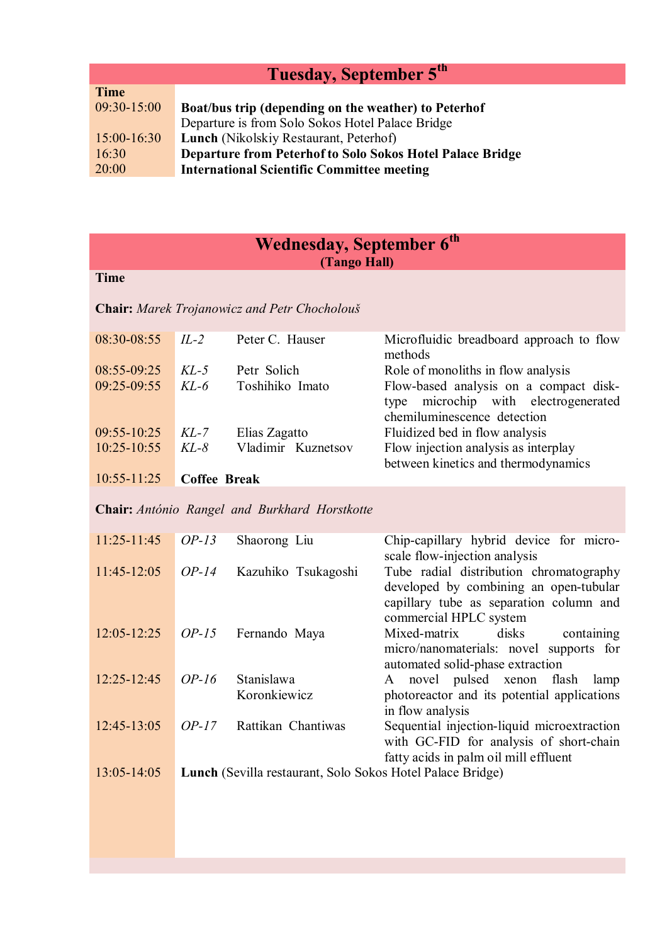# **Tuesday, September 5th**

| <b>Time</b>   |                                                           |
|---------------|-----------------------------------------------------------|
| $09:30-15:00$ | Boat/bus trip (depending on the weather) to Peterhof      |
|               | Departure is from Solo Sokos Hotel Palace Bridge          |
| $15:00-16:30$ | Lunch (Nikolskiy Restaurant, Peterhof)                    |
| 16:30         | Departure from Peterhof to Solo Sokos Hotel Palace Bridge |
| 20:00         | <b>International Scientific Committee meeting</b>         |

|                                |                     | Wednesday, September 6th<br>(Tango Hall)                   |                                                                                                                                                        |
|--------------------------------|---------------------|------------------------------------------------------------|--------------------------------------------------------------------------------------------------------------------------------------------------------|
| <b>Time</b>                    |                     |                                                            |                                                                                                                                                        |
|                                |                     | Chair: Marek Trojanowicz and Petr Chocholouš               |                                                                                                                                                        |
| 08:30-08:55                    | $IL-2$              | Peter C. Hauser                                            | Microfluidic breadboard approach to flow<br>methods                                                                                                    |
| 08:55-09:25<br>09:25-09:55     | $KL-5$<br>$KL-6$    | Petr Solich<br>Toshihiko Imato                             | Role of monoliths in flow analysis<br>Flow-based analysis on a compact disk-<br>microchip with electrogenerated<br>type<br>chemiluminescence detection |
| 09:55-10:25<br>$10:25 - 10:55$ | $KL-7$<br>$KL-8$    | Elias Zagatto<br>Vladimir Kuznetsov                        | Fluidized bed in flow analysis<br>Flow injection analysis as interplay<br>between kinetics and thermodynamics                                          |
| $10:55 - 11:25$                | <b>Coffee Break</b> |                                                            |                                                                                                                                                        |
|                                |                     | Chair: António Rangel and Burkhard Horstkotte              |                                                                                                                                                        |
| $11:25 - 11:45$                | $OP-13$             | Shaorong Liu                                               | Chip-capillary hybrid device for micro-<br>scale flow-injection analysis                                                                               |
| 11:45-12:05                    | $OP-14$             | Kazuhiko Tsukagoshi                                        | Tube radial distribution chromatography<br>developed by combining an open-tubular<br>capillary tube as separation column and<br>commercial HPLC system |
| $12:05 - 12:25$                | $OP-15$             | Fernando Maya                                              | Mixed-matrix<br>disks<br>containing<br>micro/nanomaterials: novel supports for<br>automated solid-phase extraction                                     |
| $12:25 - 12:45$                | $OP-16$             | Stanislawa<br>Koronkiewicz                                 | A novel pulsed xenon<br>flash<br>lamp<br>photoreactor and its potential applications<br>in flow analysis                                               |
| 12:45-13:05                    | $OP-17$             | Rattikan Chantiwas                                         | Sequential injection-liquid microextraction<br>with GC-FID for analysis of short-chain<br>fatty acids in palm oil mill effluent                        |
| $13:05 - 14:05$                |                     | Lunch (Sevilla restaurant, Solo Sokos Hotel Palace Bridge) |                                                                                                                                                        |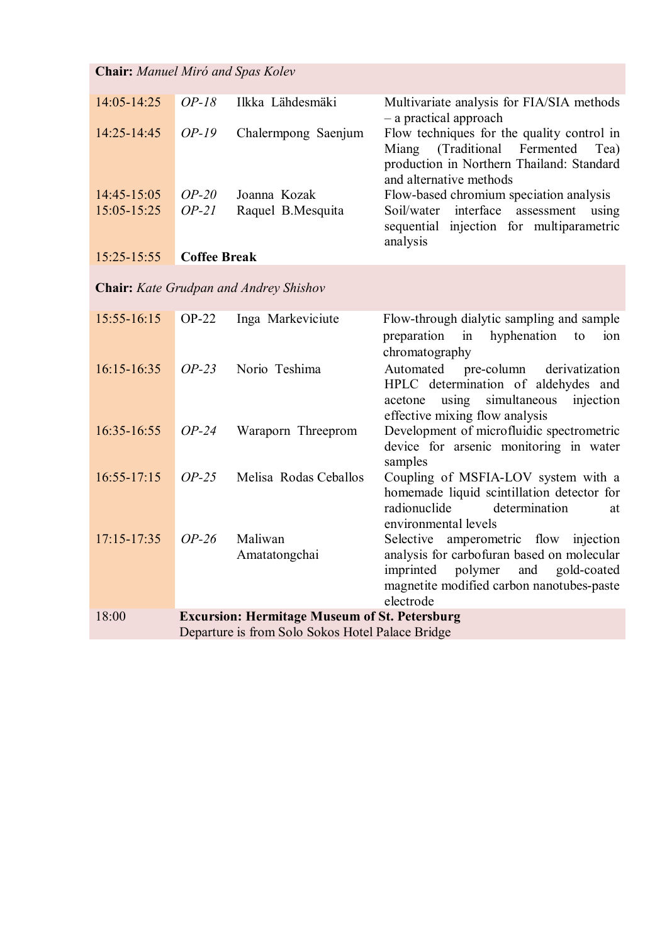| <b>Chair:</b> Manuel Miró and Spas Kolev |                     |                     |                                                                                                                                                            |
|------------------------------------------|---------------------|---------------------|------------------------------------------------------------------------------------------------------------------------------------------------------------|
| 14:05-14:25                              | $OP-18$             | Ilkka Lähdesmäki    | Multivariate analysis for FIA/SIA methods<br>- a practical approach                                                                                        |
| $14:25 - 14:45$                          | $OP-19$             | Chalermpong Saenjum | Flow techniques for the quality control in<br>Miang (Traditional Fermented<br>Tea)<br>production in Northern Thailand: Standard<br>and alternative methods |
| $14:45 - 15:05$                          | $OP-20$             | Joanna Kozak        | Flow-based chromium speciation analysis                                                                                                                    |
| $15:05 - 15:25$                          | $OP-21$             | Raquel B. Mesquita  | Soil/water interface<br>assessment<br>using<br>sequential injection for multiparametric<br>analysis                                                        |
| $15:25 - 15:55$                          | <b>Coffee Break</b> |                     |                                                                                                                                                            |

**Chair:** *Kate Grudpan and Andrey Shishov*

| $15:55 - 16:15$ | $OP-22$ | Inga Markeviciute                                    | Flow-through dialytic sampling and sample              |
|-----------------|---------|------------------------------------------------------|--------------------------------------------------------|
|                 |         |                                                      | hyphenation<br>preparation in<br>to<br>10 <sub>n</sub> |
|                 |         |                                                      | chromatography                                         |
| $16:15 - 16:35$ | $OP-23$ | Norio Teshima                                        | Automated pre-column<br>derivatization                 |
|                 |         |                                                      | HPLC determination of aldehydes and                    |
|                 |         |                                                      | using simultaneous injection<br>acetone                |
|                 |         |                                                      | effective mixing flow analysis                         |
| 16:35-16:55     | $OP-24$ | Waraporn Threeprom                                   | Development of microfluidic spectrometric              |
|                 |         |                                                      | device for arsenic monitoring in water                 |
|                 |         |                                                      | samples                                                |
| $16:55 - 17:15$ | $OP-25$ | Melisa Rodas Ceballos                                | Coupling of MSFIA-LOV system with a                    |
|                 |         |                                                      | homemade liquid scintillation detector for             |
|                 |         |                                                      | radionuclide<br>determination<br>at                    |
|                 |         |                                                      | environmental levels                                   |
| $17:15 - 17:35$ | $OP-26$ | Maliwan                                              | Selective amperometric flow injection                  |
|                 |         | Amatatongchai                                        | analysis for carbofuran based on molecular             |
|                 |         |                                                      | polymer<br>and gold-coated<br>imprinted                |
|                 |         |                                                      | magnetite modified carbon nanotubes-paste              |
|                 |         |                                                      | electrode                                              |
| 18:00           |         | <b>Excursion: Hermitage Museum of St. Petersburg</b> |                                                        |
|                 |         | Departure is from Solo Sokos Hotel Palace Bridge     |                                                        |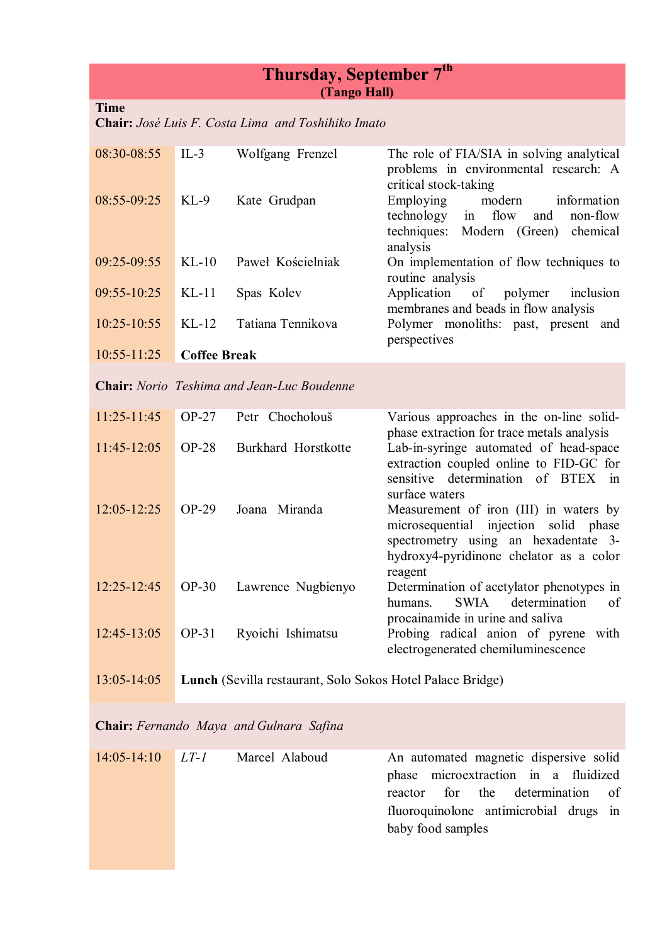### **Thursday, September 7 th (Tango Hall)**

#### **Time**

**Chair:** *José Luis F. Costa Lima and Toshihiko Imato*

| 08:30-08:55     | $IL-3$              | Wolfgang Frenzel                                           | The role of FIA/SIA in solving analytical<br>problems in environmental research: A<br>critical stock-taking                                                                         |
|-----------------|---------------------|------------------------------------------------------------|-------------------------------------------------------------------------------------------------------------------------------------------------------------------------------------|
| 08:55-09:25     | $KL-9$              | Kate Grudpan                                               | Employing<br>modern<br>information<br>flow<br>technology<br>non-flow<br>and<br>in<br>techniques:<br>Modern (Green)<br>chemical                                                      |
| 09:25-09:55     | $KL-10$             | Paweł Kościelniak                                          | analysis<br>On implementation of flow techniques to<br>routine analysis                                                                                                             |
| 09:55-10:25     | $KL-11$             | Spas Kolev                                                 | Application<br>of<br>polymer<br>inclusion<br>membranes and beads in flow analysis                                                                                                   |
| $10:25 - 10:55$ | $KL-12$             | Tatiana Tennikova                                          | Polymer monoliths: past, present<br>and<br>perspectives                                                                                                                             |
| 10:55-11:25     | <b>Coffee Break</b> |                                                            |                                                                                                                                                                                     |
|                 |                     | <b>Chair:</b> Norio Teshima and Jean-Luc Boudenne          |                                                                                                                                                                                     |
| $11:25 - 11:45$ | $OP-27$             | Petr Chocholouš                                            | Various approaches in the on-line solid-<br>phase extraction for trace metals analysis                                                                                              |
| 11:45-12:05     | $OP-28$             | Burkhard Horstkotte                                        | Lab-in-syringe automated of head-space<br>extraction coupled online to FID-GC for<br>of BTEX<br>sensitive<br>determination<br>in<br>surface waters                                  |
| $12:05 - 12:25$ | $OP-29$             | Joana Miranda                                              | Measurement of iron (III) in waters by<br>microsequential<br>injection solid<br>phase<br>spectrometry using an hexadentate 3-<br>hydroxy4-pyridinone chelator as a color<br>reagent |
| 12:25-12:45     | $OP-30$             | Lawrence Nugbienyo                                         | Determination of acetylator phenotypes in<br>determination<br><b>SWIA</b><br>of<br>humans.                                                                                          |
| 12:45-13:05     | OP-31               | Ryoichi Ishimatsu                                          | procainamide in urine and saliva<br>Probing radical anion of pyrene with<br>electrogenerated chemiluminescence                                                                      |
| 13:05-14:05     |                     | Lunch (Sevilla restaurant, Solo Sokos Hotel Palace Bridge) |                                                                                                                                                                                     |

**Chair:** *Fernando Maya and Gulnara Safina*

| $14:05-14:10$ $LT-1$ | Marcel Alaboud | An automated magnetic dispersive solid |
|----------------------|----------------|----------------------------------------|
|                      |                | phase microextraction in a fluidized   |
|                      |                | reactor for the determination of       |
|                      |                | fluoroquinolone antimicrobial drugs in |
|                      |                | baby food samples                      |
|                      |                |                                        |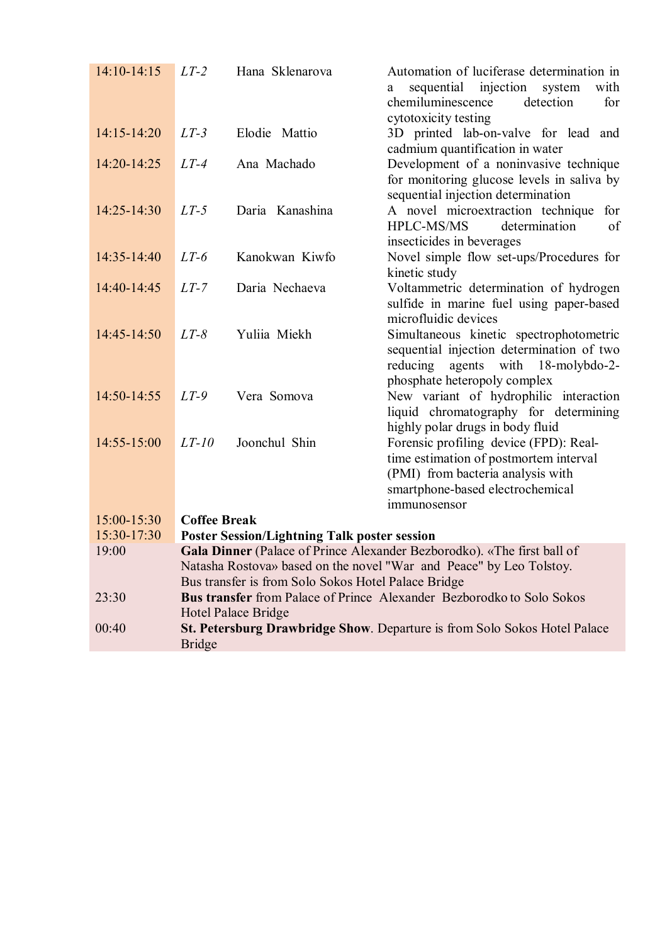| $14:10-14:15$   | $LT-2$              | Hana Sklenarova                                     | Automation of luciferase determination in<br>sequential injection system<br>with<br>a<br>chemiluminescence<br>detection<br>for<br>cytotoxicity testing                    |
|-----------------|---------------------|-----------------------------------------------------|---------------------------------------------------------------------------------------------------------------------------------------------------------------------------|
| $14:15 - 14:20$ | $LT-3$              | Elodie Mattio                                       | 3D printed lab-on-valve for lead and<br>cadmium quantification in water                                                                                                   |
| 14:20-14:25     | $LT-4$              | Ana Machado                                         | Development of a noninvasive technique<br>for monitoring glucose levels in saliva by<br>sequential injection determination                                                |
| $14:25 - 14:30$ | $LT-5$              | Daria Kanashina                                     | A novel microextraction technique<br>for<br><b>HPLC-MS/MS</b><br>determination<br>of<br>insecticides in beverages                                                         |
| 14:35-14:40     | $LT-6$              | Kanokwan Kiwfo                                      | Novel simple flow set-ups/Procedures for<br>kinetic study                                                                                                                 |
| 14:40-14:45     | $LT-7$              | Daria Nechaeva                                      | Voltammetric determination of hydrogen<br>sulfide in marine fuel using paper-based<br>microfluidic devices                                                                |
| 14:45-14:50     | $LT-8$              | Yuliia Miekh                                        | Simultaneous kinetic spectrophotometric<br>sequential injection determination of two<br>reducing<br>agents with 18-molybdo-2-                                             |
| 14:50-14:55     | $LT-9$              | Vera Somova                                         | phosphate heteropoly complex<br>New variant of hydrophilic interaction<br>liquid chromatography for determining<br>highly polar drugs in body fluid                       |
| 14:55-15:00     | $LT-10$             | Joonchul Shin                                       | Forensic profiling device (FPD): Real-<br>time estimation of postmortem interval<br>(PMI) from bacteria analysis with<br>smartphone-based electrochemical<br>immunosensor |
| 15:00-15:30     | <b>Coffee Break</b> |                                                     |                                                                                                                                                                           |
| 15:30-17:30     |                     | <b>Poster Session/Lightning Talk poster session</b> |                                                                                                                                                                           |
| 19:00           |                     | Bus transfer is from Solo Sokos Hotel Palace Bridge | Gala Dinner (Palace of Prince Alexander Bezborodko). «The first ball of<br>Natasha Rostova» based on the novel "War and Peace" by Leo Tolstoy.                            |
| 23:30           |                     | <b>Hotel Palace Bridge</b>                          | <b>Bus transfer</b> from Palace of Prince Alexander Bezborodko to Solo Sokos                                                                                              |
| 00:40           | <b>Bridge</b>       |                                                     | St. Petersburg Drawbridge Show. Departure is from Solo Sokos Hotel Palace                                                                                                 |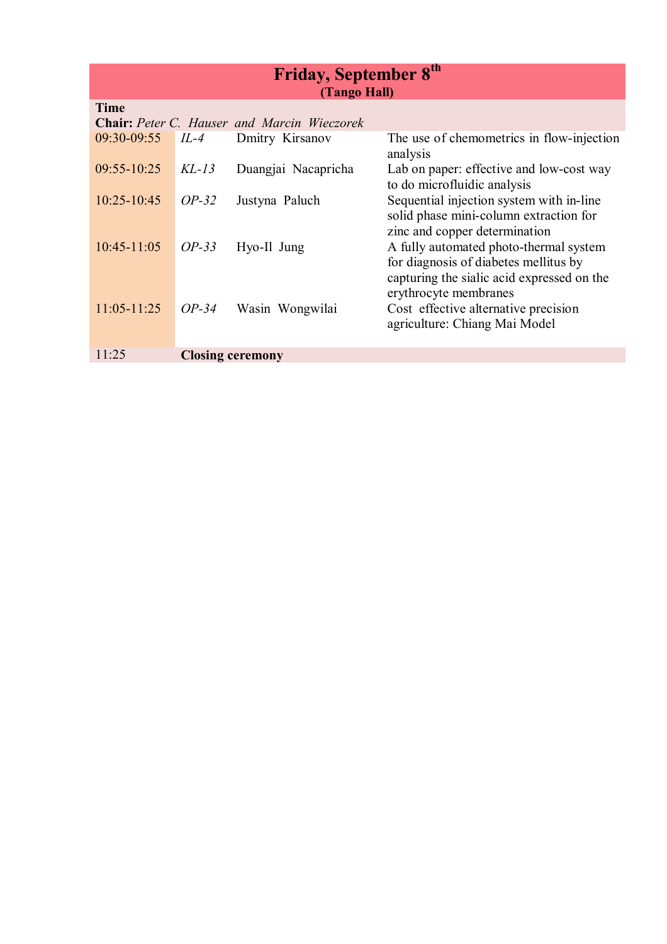| Friday, September 8th |  |
|-----------------------|--|
| (Tango Hall)          |  |

| <b>Time</b>                                        |                         |                     |                                                                                                                               |
|----------------------------------------------------|-------------------------|---------------------|-------------------------------------------------------------------------------------------------------------------------------|
| <b>Chair:</b> Peter C. Hauser and Marcin Wieczorek |                         |                     |                                                                                                                               |
| $09:30-09:55$                                      | $IL-4$                  | Dmitry Kirsanov     | The use of chemometrics in flow-injection<br>analysis                                                                         |
| $09:55 - 10:25$                                    | $KL-13$                 | Duangjai Nacapricha | Lab on paper: effective and low-cost way<br>to do microfluidic analysis                                                       |
| 10:25-10:45                                        | $OP-32$                 | Justyna Paluch      | Sequential injection system with in-line<br>solid phase mini-column extraction for<br>zinc and copper determination           |
| $10:45 - 11:05$                                    | $OP-33$                 | Hyo-Il Jung         | A fully automated photo-thermal system<br>for diagnosis of diabetes mellitus by<br>capturing the sialic acid expressed on the |
| $11:05 - 11:25$                                    | $OP-34$                 | Wasin Wongwilai     | erythrocyte membranes<br>Cost effective alternative precision<br>agriculture: Chiang Mai Model                                |
| 11.25                                              | <b>Closing ceremony</b> |                     |                                                                                                                               |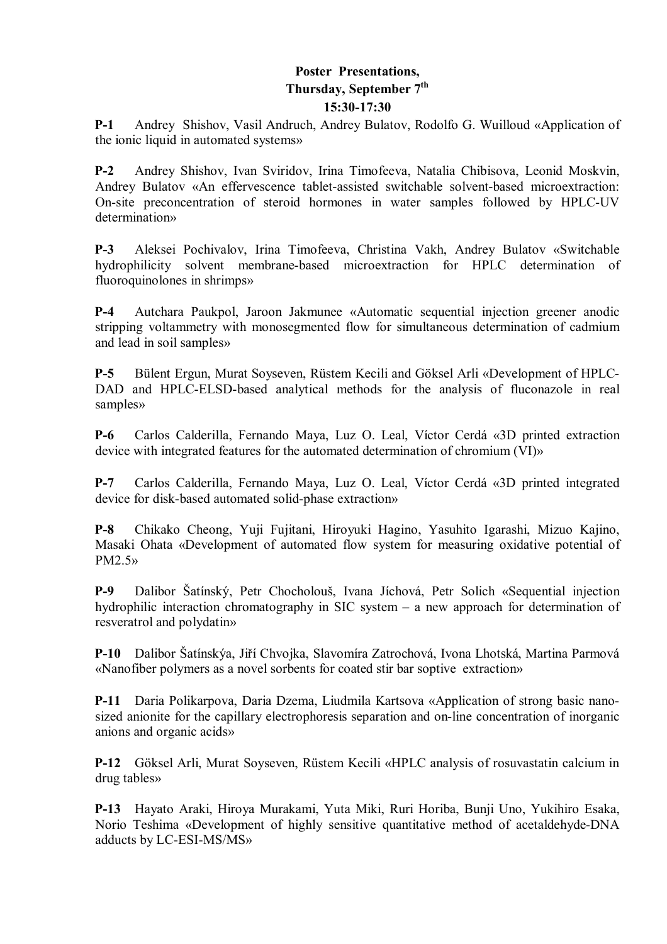#### **Poster Presentations, Thursday, September 7th 15:30-17:30**

**P-1** Andrey Shishov, Vasil Andruch, Andrey Bulatov, Rodolfo G. Wuilloud «Application of the ionic liquid in automated systems»

**P-2** Andrey Shishov, Ivan Sviridov, Irina Timofeeva, Natalia Chibisova, Leonid Moskvin, Andrey Bulatov «An effervescence tablet-assisted switchable solvent-based microextraction: On-site preconcentration of steroid hormones in water samples followed by HPLC-UV determination»

**P-3** Aleksei Pochivalov, Irina Timofeeva, Christina Vakh, Andrey Bulatov «Switchable hydrophilicity solvent membrane-based microextraction for HPLC determination of fluoroquinolones in shrimps»

**P-4** Autchara Paukpol, Jaroon Jakmunee «Automatic sequential injection greener anodic stripping voltammetry with monosegmented flow for simultaneous determination of cadmium and lead in soil samples»

**P-5** Bülent Ergun, Murat Soyseven, Rüstem Kecili and Göksel Arli «Development of HPLC-DAD and HPLC-ELSD-based analytical methods for the analysis of fluconazole in real samples»

**P-6** Carlos Calderilla, Fernando Maya, Luz O. Leal, Víctor Cerdá «3D printed extraction device with integrated features for the automated determination of chromium (VI)»

**P-7** Carlos Calderilla, Fernando Maya, Luz O. Leal, Víctor Cerdá «3D printed integrated device for disk-based automated solid-phase extraction»

**P-8** Chikako Cheong, Yuji Fujitani, Hiroyuki Hagino, Yasuhito Igarashi, Mizuo Kajino, Masaki Ohata «Development of automated flow system for measuring oxidative potential of PM2.5»

**P-9** Dalibor Šatínský, Petr Chocholouš, Ivana Jíchová, Petr Solich «Sequential injection hydrophilic interaction chromatography in SIC system – a new approach for determination of resveratrol and polydatin»

**P-10** Dalibor Šatínskýa, Jiří Chvojka, Slavomíra Zatrochová, Ivona Lhotská, Martina Parmová «Nanofiber polymers as a novel sorbents for coated stir bar soptive extraction»

**P-11** Daria Polikarpova, Daria Dzema, Liudmila Kartsova «Application of strong basic nanosized anionite for the capillary electrophoresis separation and on-line concentration of inorganic anions and organic acids»

**P-12** Göksel Arli, Murat Soyseven, Rüstem Kecili «HPLC analysis of rosuvastatin calcium in drug tables»

**P-13** Hayato Araki, Hiroya Murakami, Yuta Miki, Ruri Horiba, Bunji Uno, Yukihiro Esaka, Norio Teshima «Development of highly sensitive quantitative method of acetaldehyde-DNA adducts by LC-ESI-MS/MS»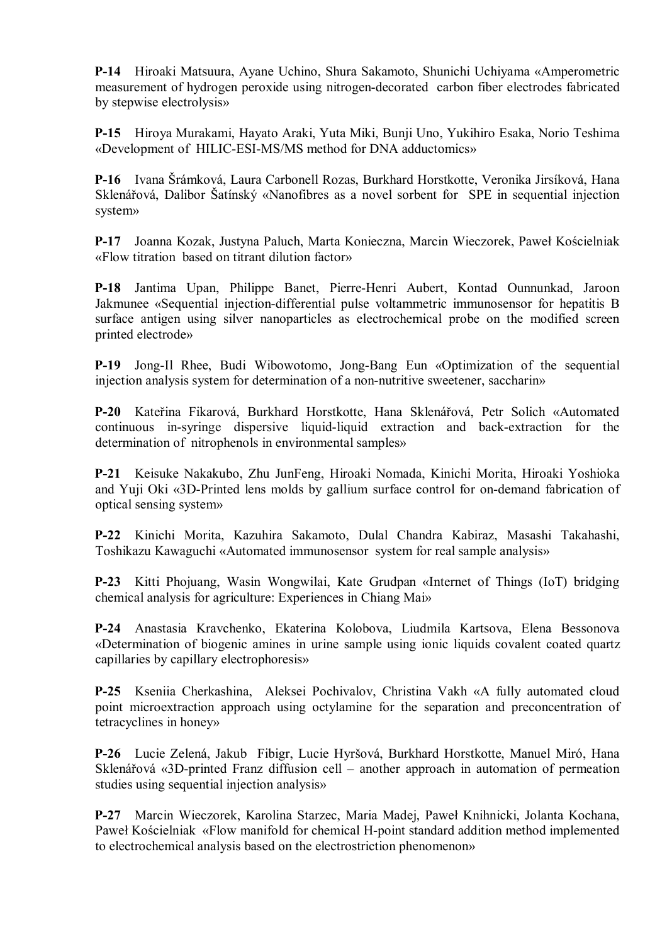**P-14** Hiroaki Matsuura, Ayane Uchino, Shura Sakamoto, Shunichi Uchiyama «Amperometric measurement of hydrogen peroxide using nitrogen-decorated carbon fiber electrodes fabricated by stepwise electrolysis»

**P-15** Hiroya Murakami, Hayato Araki, Yuta Miki, Bunji Uno, Yukihiro Esaka, Norio Teshima «Development of HILIC-ESI-MS/MS method for DNA adductomics»

**P-16** Ivana Šrámková, Laura Carbonell Rozas, Burkhard Horstkotte, Veronika Jirsíková, Hana Sklenářová, Dalibor Šatínský «Nanofibres as a novel sorbent for SPE in sequential injection system»

**P-17** Joanna Kozak, Justyna Paluch, Marta Konieczna, Marcin Wieczorek, Paweł Kościelniak «Flow titration based on titrant dilution factor»

**P-18** Jantima Upan, Philippe Banet, Pierre-Henri Aubert, Kontad Ounnunkad, Jaroon Jakmunee «Sequential injection-differential pulse voltammetric immunosensor for hepatitis B surface antigen using silver nanoparticles as electrochemical probe on the modified screen printed electrode»

**P-19** Jong-Il Rhee, Budi Wibowotomo, Jong-Bang Eun «Optimization of the sequential injection analysis system for determination of a non-nutritive sweetener, saccharin»

**P-20** Kateřina Fikarová, Burkhard Horstkotte, Hana Sklenářová, Petr Solich «Automated continuous in-syringe dispersive liquid-liquid extraction and back-extraction for the determination of nitrophenols in environmental samples»

**P-21** Keisuke Nakakubo, Zhu JunFeng, Hiroaki Nomada, Kinichi Morita, Hiroaki Yoshioka and Yuji Oki «3D-Printed lens molds by gallium surface control for on-demand fabrication of optical sensing system»

**P-22** Kinichi Morita, Kazuhira Sakamoto, Dulal Chandra Kabiraz, Masashi Takahashi, Toshikazu Kawaguchi «Automated immunosensor system for real sample analysis»

**P-23** Kitti Phojuang, Wasin Wongwilai, Kate Grudpan «Internet of Things (IoT) bridging chemical analysis for agriculture: Experiences in Chiang Mai»

**P-24** Anastasia Kravchenko, Ekaterina Kolobova, Liudmila Kartsova, Elena Bessonova «Determination of biogenic amines in urine sample using ionic liquids covalent coated quartz capillaries by capillary electrophoresis»

**P-25** Kseniia Cherkashina, Aleksei Pochivalov, Christina Vakh «A fully automated cloud point microextraction approach using octylamine for the separation and preconcentration of tetracyclines in honey»

**P-26** Lucie Zelená, Jakub Fibigr, Lucie Hyršová, Burkhard Horstkotte, Manuel Miró, Hana Sklenářová «3D-printed Franz diffusion cell – another approach in automation of permeation studies using sequential injection analysis»

**P-27** Marcin Wieczorek, Karolina Starzec, Maria Madej, Paweł Knihnicki, Jolanta Kochana, Paweł Kościelniak «Flow manifold for chemical H-point standard addition method implemented to electrochemical analysis based on the electrostriction phenomenon»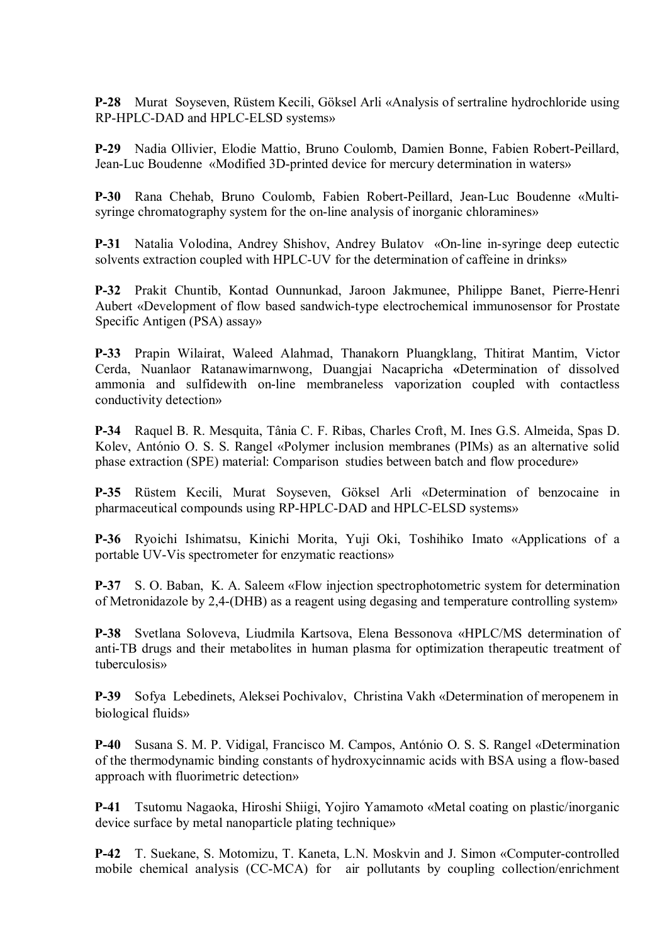**P-28** Murat Soyseven, Rüstem Kecili, Göksel Arli «Analysis of sertraline hydrochloride using RP-HPLC-DAD and HPLC-ELSD systems»

**P-29** Nadia Ollivier, Elodie Mattio, Bruno Coulomb, Damien Bonne, Fabien Robert-Peillard, Jean-Luc Boudenne «Modified 3D-printed device for mercury determination in waters»

**P-30** Rana Chehab, Bruno Coulomb, Fabien Robert-Peillard, Jean-Luc Boudenne «Multisyringe chromatography system for the on-line analysis of inorganic chloramines»

**P-31** Natalia Volodina, Andrey Shishov, Andrey Bulatov «On-line in-syringe deep eutectic solvents extraction coupled with HPLC-UV for the determination of caffeine in drinks»

**P-32** Prakit Chuntib, Kontad Ounnunkad, Jaroon Jakmunee, Philippe Banet, Pierre-Henri Aubert «Development of flow based sandwich-type electrochemical immunosensor for Prostate Specific Antigen (PSA) assay»

**P-33** Prapin Wilairat, Waleed Alahmad, Thanakorn Pluangklang, Thitirat Mantim, Victor Cerda, Nuanlaor Ratanawimarnwong, Duangjai Nacapricha **«**Determination of dissolved ammonia and sulfidewith on-line membraneless vaporization coupled with contactless conductivity detection»

**P-34** Raquel B. R. Mesquita, Tânia C. F. Ribas, Charles Croft, M. Ines G.S. Almeida, Spas D. Kolev, António O. S. S. Rangel «Polymer inclusion membranes (PIMs) as an alternative solid phase extraction (SPE) material: Comparison studies between batch and flow procedure»

**P-35** Rüstem Kecili, Murat Soyseven, Göksel Arli «Determination of benzocaine in pharmaceutical compounds using RP-HPLC-DAD and HPLC-ELSD systems»

**P-36** Ryoichi Ishimatsu, Kinichi Morita, Yuji Oki, Toshihiko Imato «Applications of a portable UV-Vis spectrometer for enzymatic reactions»

**P-37** S. O. Baban, K. A. Saleem «Flow injection spectrophotometric system for determination of Metronidazole by 2,4-(DHB) as a reagent using degasing and temperature controlling system»

**P-38** Svetlana Soloveva, Liudmila Kartsova, Elena Bessonova «HPLC/MS determination of anti-TB drugs and their metabolites in human plasma for optimization therapeutic treatment of tuberculosis»

**P-39** Sofya Lebedinets, Aleksei Pochivalov, Christina Vakh «Determination of meropenem in biological fluids»

**P-40** Susana S. M. P. Vidigal, Francisco M. Campos, António O. S. S. Rangel «Determination of the thermodynamic binding constants of hydroxycinnamic acids with BSA using a flow-based approach with fluorimetric detection»

**P-41** Tsutomu Nagaoka, Hiroshi Shiigi, Yojiro Yamamoto «Metal coating on plastic/inorganic device surface by metal nanoparticle plating technique»

**P-42** T. Suekane, S. Motomizu, T. Kaneta, L.N. Moskvin and J. Simon «Computer-controlled mobile chemical analysis (CC-MCA) for air pollutants by coupling collection/enrichment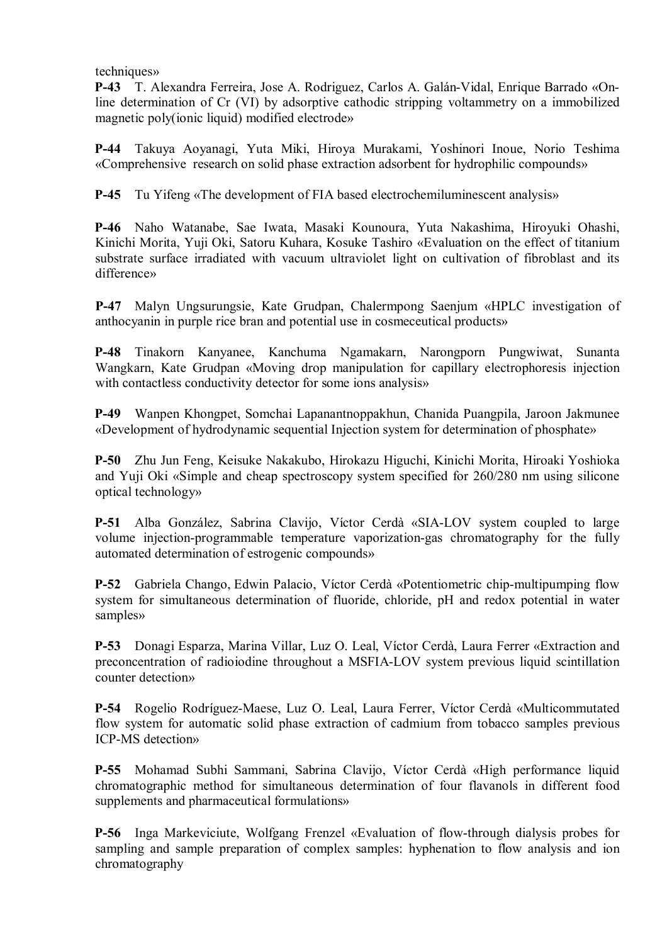techniques»

**P-43** T. Alexandra Ferreira, Jose A. Rodriguez, Carlos A. Galán-Vidal, Enrique Barrado «Online determination of Cr (VI) by adsorptive cathodic stripping voltammetry on a immobilized magnetic poly(ionic liquid) modified electrode»

**P-44** Takuya Aoyanagi, Yuta Miki, Hiroya Murakami, Yoshinori Inoue, Norio Teshima «Comprehensive research on solid phase extraction adsorbent for hydrophilic compounds»

**P-45** Tu Yifeng «The development of FIA based electrochemiluminescent analysis»

**P-46** Naho Watanabe, Sae Iwata, Masaki Kounoura, Yuta Nakashima, Hiroyuki Ohashi, Kinichi Morita, Yuji Oki, Satoru Kuhara, Kosuke Tashiro «Evaluation on the effect of titanium substrate surface irradiated with vacuum ultraviolet light on cultivation of fibroblast and its difference»

**P-47** Malyn Ungsurungsie, Kate Grudpan, Chalermpong Saenjum «HPLC investigation of anthocyanin in purple rice bran and potential use in cosmeceutical products»

**P-48** Tinakorn Kanyanee, Kanchuma Ngamakarn, Narongporn Pungwiwat, Sunanta Wangkarn, Kate Grudpan «Moving drop manipulation for capillary electrophoresis injection with contactless conductivity detector for some ions analysis»

**P-49** Wanpen Khongpet, Somchai Lapanantnoppakhun, Chanida Puangpila, Jaroon Jakmunee «Development of hydrodynamic sequential Injection system for determination of phosphate»

**P-50** Zhu Jun Feng, Keisuke Nakakubo, Hirokazu Higuchi, Kinichi Morita, Hiroaki Yoshioka and Yuji Oki «Simple and cheap spectroscopy system specified for 260/280 nm using silicone optical technology»

**P-51** Alba González, Sabrina Clavijo, Víctor Cerdà «SIA-LOV system coupled to large volume injection-programmable temperature vaporization-gas chromatography for the fully automated determination of estrogenic compounds»

**P-52** Gabriela Chango, Edwin Palacio, Víctor Cerdà «Potentiometric chip-multipumping flow system for simultaneous determination of fluoride, chloride, pH and redox potential in water samples»

**P-53** Donagi Esparza, Marina Villar, Luz O. Leal, Víctor Cerdà, Laura Ferrer «Extraction and preconcentration of radioiodine throughout a MSFIA-LOV system previous liquid scintillation counter detection»

**P-54** Rogelio Rodríguez-Maese, Luz O. Leal, Laura Ferrer, Víctor Cerdà «Multicommutated flow system for automatic solid phase extraction of cadmium from tobacco samples previous ICP-MS detection»

**P-55** Mohamad Subhi Sammani, Sabrina Clavijo, Víctor Cerdà «High performance liquid chromatographic method for simultaneous determination of four flavanols in different food supplements and pharmaceutical formulations»

**P-56** Inga Markeviciute, Wolfgang Frenzel «Evaluation of flow-through dialysis probes for sampling and sample preparation of complex samples: hyphenation to flow analysis and ion chromatography